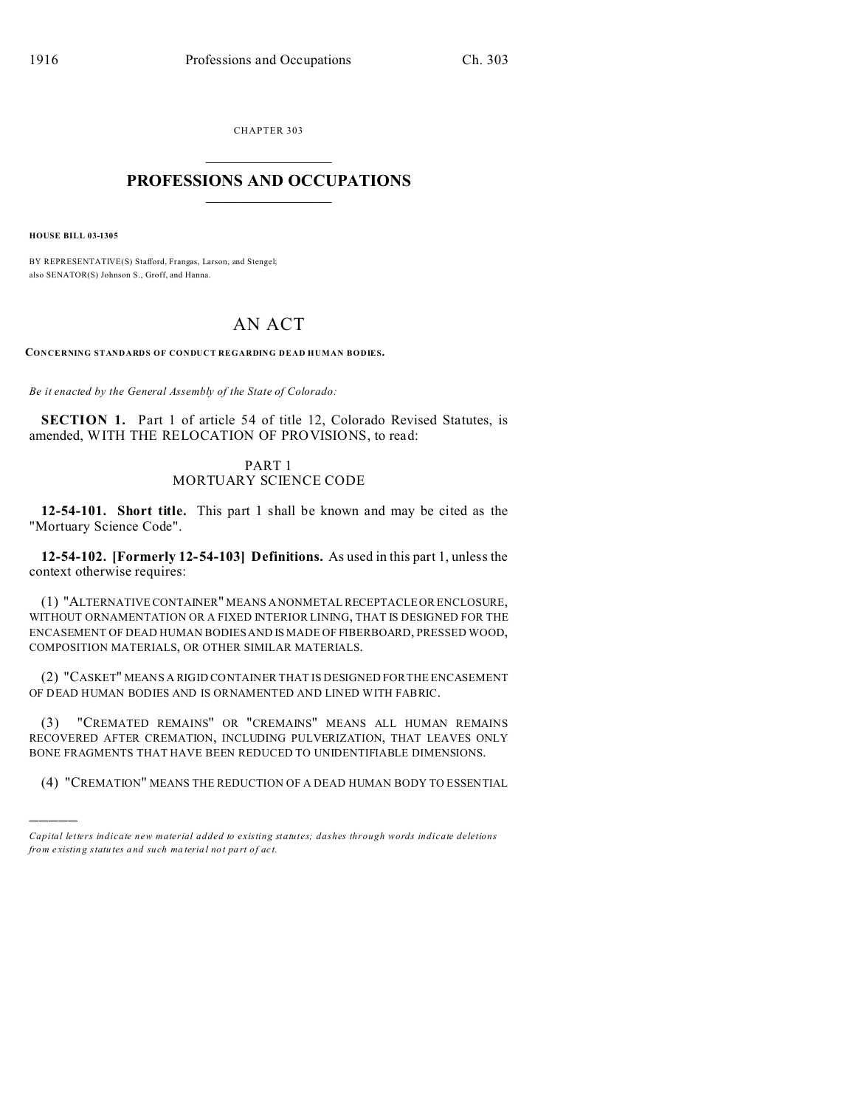CHAPTER 303  $\overline{\phantom{a}}$  , where  $\overline{\phantom{a}}$ 

# **PROFESSIONS AND OCCUPATIONS**  $\frac{1}{2}$  ,  $\frac{1}{2}$  ,  $\frac{1}{2}$  ,  $\frac{1}{2}$  ,  $\frac{1}{2}$  ,  $\frac{1}{2}$

**HOUSE BILL 03-1305**

)))))

BY REPRESENTATIVE(S) Stafford, Frangas, Larson, and Stengel; also SENATOR(S) Johnson S., Groff, and Hanna.

# AN ACT

**CONCERNING STANDARDS OF CONDUCT REGARDING DEAD HUMAN BODIES.**

*Be it enacted by the General Assembly of the State of Colorado:*

**SECTION 1.** Part 1 of article 54 of title 12, Colorado Revised Statutes, is amended, WITH THE RELOCATION OF PROVISIONS, to read:

# PART 1 MORTUARY SCIENCE CODE

**12-54-101. Short title.** This part 1 shall be known and may be cited as the "Mortuary Science Code".

**12-54-102. [Formerly 12-54-103] Definitions.** As used in this part 1, unless the context otherwise requires:

(1) "ALTERNATIVE CONTAINER" MEANS A NONMETAL RECEPTACLE OR ENCLOSURE, WITHOUT ORNAMENTATION OR A FIXED INTERIOR LINING, THAT IS DESIGNED FOR THE ENCASEMENT OF DEAD HUMAN BODIES AND IS MADE OF FIBERBOARD, PRESSED WOOD, COMPOSITION MATERIALS, OR OTHER SIMILAR MATERIALS.

(2) "CASKET" MEANS A RIGID CONTAINER THAT IS DESIGNED FOR THE ENCASEMENT OF DEAD HUMAN BODIES AND IS ORNAMENTED AND LINED WITH FABRIC.

(3) "CREMATED REMAINS" OR "CREMAINS" MEANS ALL HUMAN REMAINS RECOVERED AFTER CREMATION, INCLUDING PULVERIZATION, THAT LEAVES ONLY BONE FRAGMENTS THAT HAVE BEEN REDUCED TO UNIDENTIFIABLE DIMENSIONS.

(4) "CREMATION" MEANS THE REDUCTION OF A DEAD HUMAN BODY TO ESSENTIAL

*Capital letters indicate new material added to existing statutes; dashes through words indicate deletions from e xistin g statu tes a nd such ma teria l no t pa rt of ac t.*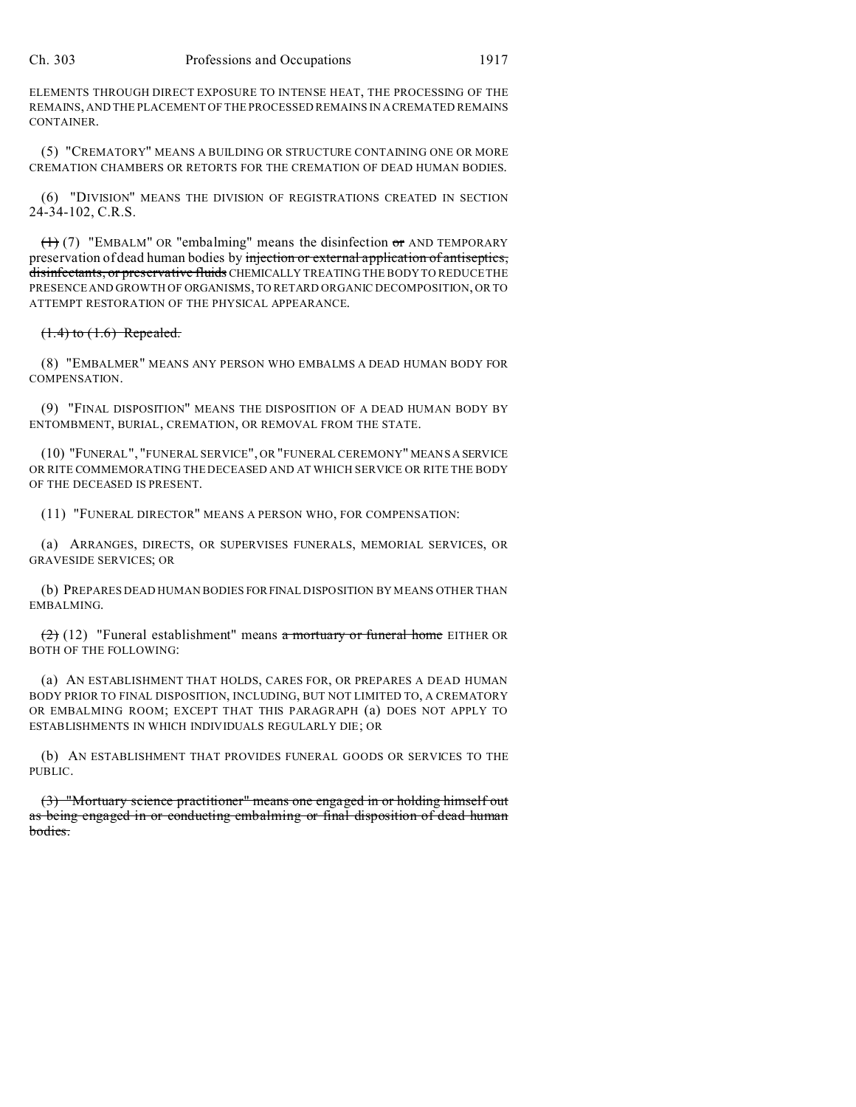ELEMENTS THROUGH DIRECT EXPOSURE TO INTENSE HEAT, THE PROCESSING OF THE REMAINS, AND THE PLACEMENT OF THE PROCESSED REMAINS IN ACREMATED REMAINS CONTAINER.

(5) "CREMATORY" MEANS A BUILDING OR STRUCTURE CONTAINING ONE OR MORE CREMATION CHAMBERS OR RETORTS FOR THE CREMATION OF DEAD HUMAN BODIES.

(6) "DIVISION" MEANS THE DIVISION OF REGISTRATIONS CREATED IN SECTION 24-34-102, C.R.S.

 $(1)$  (7) "EMBALM" OR "embalming" means the disinfection or AND TEMPORARY preservation of dead human bodies by injection or external application of antiseptics, disinfectants, or preservative fluids CHEMICALLY TREATING THE BODY TO REDUCE THE PRESENCE AND GROWTH OF ORGANISMS, TO RETARD ORGANIC DECOMPOSITION, OR TO ATTEMPT RESTORATION OF THE PHYSICAL APPEARANCE.

### $(1.4)$  to  $(1.6)$  Repealed.

(8) "EMBALMER" MEANS ANY PERSON WHO EMBALMS A DEAD HUMAN BODY FOR COMPENSATION.

(9) "FINAL DISPOSITION" MEANS THE DISPOSITION OF A DEAD HUMAN BODY BY ENTOMBMENT, BURIAL, CREMATION, OR REMOVAL FROM THE STATE.

(10) "FUNERAL", "FUNERAL SERVICE", OR "FUNERAL CEREMONY" MEANS A SERVICE OR RITE COMMEMORATING THE DECEASED AND AT WHICH SERVICE OR RITE THE BODY OF THE DECEASED IS PRESENT.

(11) "FUNERAL DIRECTOR" MEANS A PERSON WHO, FOR COMPENSATION:

(a) ARRANGES, DIRECTS, OR SUPERVISES FUNERALS, MEMORIAL SERVICES, OR GRAVESIDE SERVICES; OR

(b) PREPARES DEAD HUMAN BODIES FORFINAL DISPOSITION BY MEANS OTHER THAN EMBALMING.

 $(2)$  (12) "Funeral establishment" means a mortuary or funeral home EITHER OR BOTH OF THE FOLLOWING:

(a) AN ESTABLISHMENT THAT HOLDS, CARES FOR, OR PREPARES A DEAD HUMAN BODY PRIOR TO FINAL DISPOSITION, INCLUDING, BUT NOT LIMITED TO, A CREMATORY OR EMBALMING ROOM; EXCEPT THAT THIS PARAGRAPH (a) DOES NOT APPLY TO ESTABLISHMENTS IN WHICH INDIVIDUALS REGULARLY DIE; OR

(b) AN ESTABLISHMENT THAT PROVIDES FUNERAL GOODS OR SERVICES TO THE PUBLIC.

(3) "Mortuary science practitioner" means one engaged in or holding himself out as being engaged in or conducting embalming or final disposition of dead human bodies.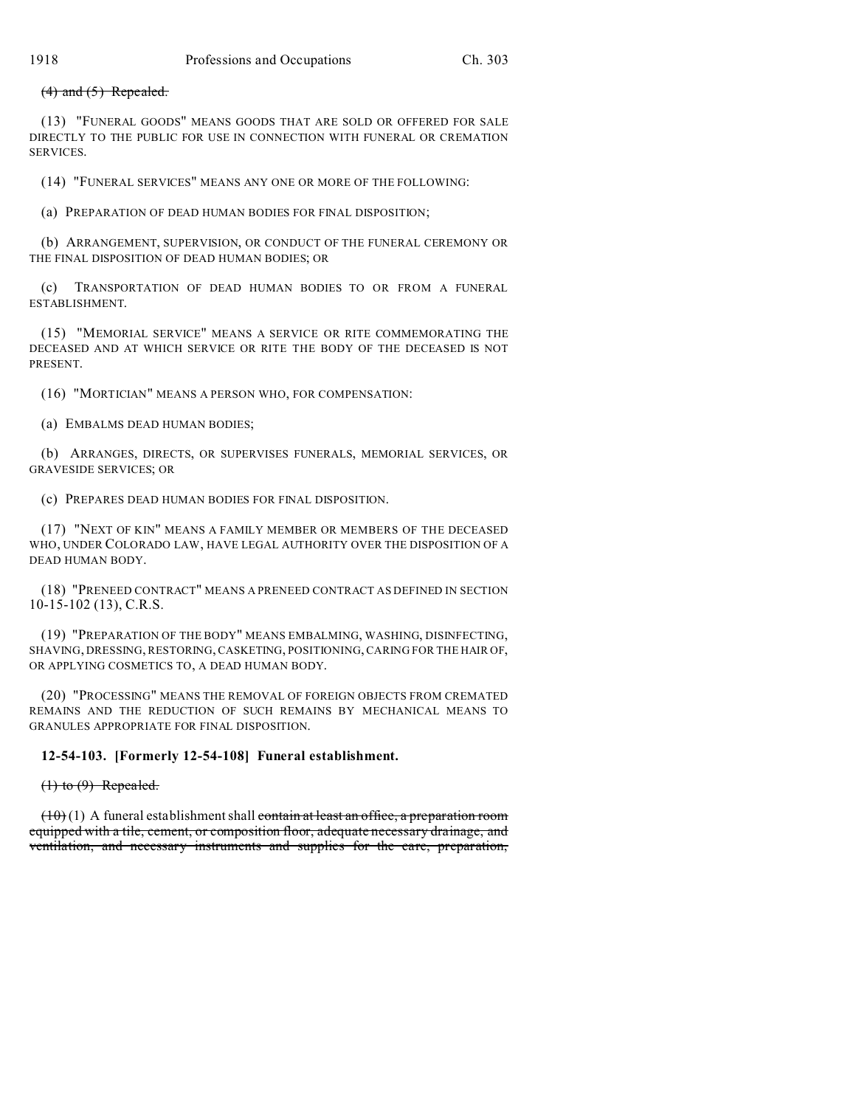### $(4)$  and  $(5)$  Repealed.

(13) "FUNERAL GOODS" MEANS GOODS THAT ARE SOLD OR OFFERED FOR SALE DIRECTLY TO THE PUBLIC FOR USE IN CONNECTION WITH FUNERAL OR CREMATION SERVICES.

(14) "FUNERAL SERVICES" MEANS ANY ONE OR MORE OF THE FOLLOWING:

(a) PREPARATION OF DEAD HUMAN BODIES FOR FINAL DISPOSITION;

(b) ARRANGEMENT, SUPERVISION, OR CONDUCT OF THE FUNERAL CEREMONY OR THE FINAL DISPOSITION OF DEAD HUMAN BODIES; OR

(c) TRANSPORTATION OF DEAD HUMAN BODIES TO OR FROM A FUNERAL ESTABLISHMENT.

(15) "MEMORIAL SERVICE" MEANS A SERVICE OR RITE COMMEMORATING THE DECEASED AND AT WHICH SERVICE OR RITE THE BODY OF THE DECEASED IS NOT PRESENT.

(16) "MORTICIAN" MEANS A PERSON WHO, FOR COMPENSATION:

(a) EMBALMS DEAD HUMAN BODIES;

(b) ARRANGES, DIRECTS, OR SUPERVISES FUNERALS, MEMORIAL SERVICES, OR GRAVESIDE SERVICES; OR

(c) PREPARES DEAD HUMAN BODIES FOR FINAL DISPOSITION.

(17) "NEXT OF KIN" MEANS A FAMILY MEMBER OR MEMBERS OF THE DECEASED WHO, UNDER COLORADO LAW, HAVE LEGAL AUTHORITY OVER THE DISPOSITION OF A DEAD HUMAN BODY.

(18) "PRENEED CONTRACT" MEANS A PRENEED CONTRACT AS DEFINED IN SECTION 10-15-102 (13), C.R.S.

(19) "PREPARATION OF THE BODY" MEANS EMBALMING, WASHING, DISINFECTING, SHAVING, DRESSING, RESTORING, CASKETING, POSITIONING, CARING FOR THE HAIR OF, OR APPLYING COSMETICS TO, A DEAD HUMAN BODY.

(20) "PROCESSING" MEANS THE REMOVAL OF FOREIGN OBJECTS FROM CREMATED REMAINS AND THE REDUCTION OF SUCH REMAINS BY MECHANICAL MEANS TO GRANULES APPROPRIATE FOR FINAL DISPOSITION.

### **12-54-103. [Formerly 12-54-108] Funeral establishment.**

 $(1)$  to  $(9)$  Repealed.

 $(10)(1)$  A funeral establishment shall contain at least an office, a preparation room equipped with a tile, cement, or composition floor, adequate necessary drainage, and ventilation, and necessary instruments and supplies for the care, preparation,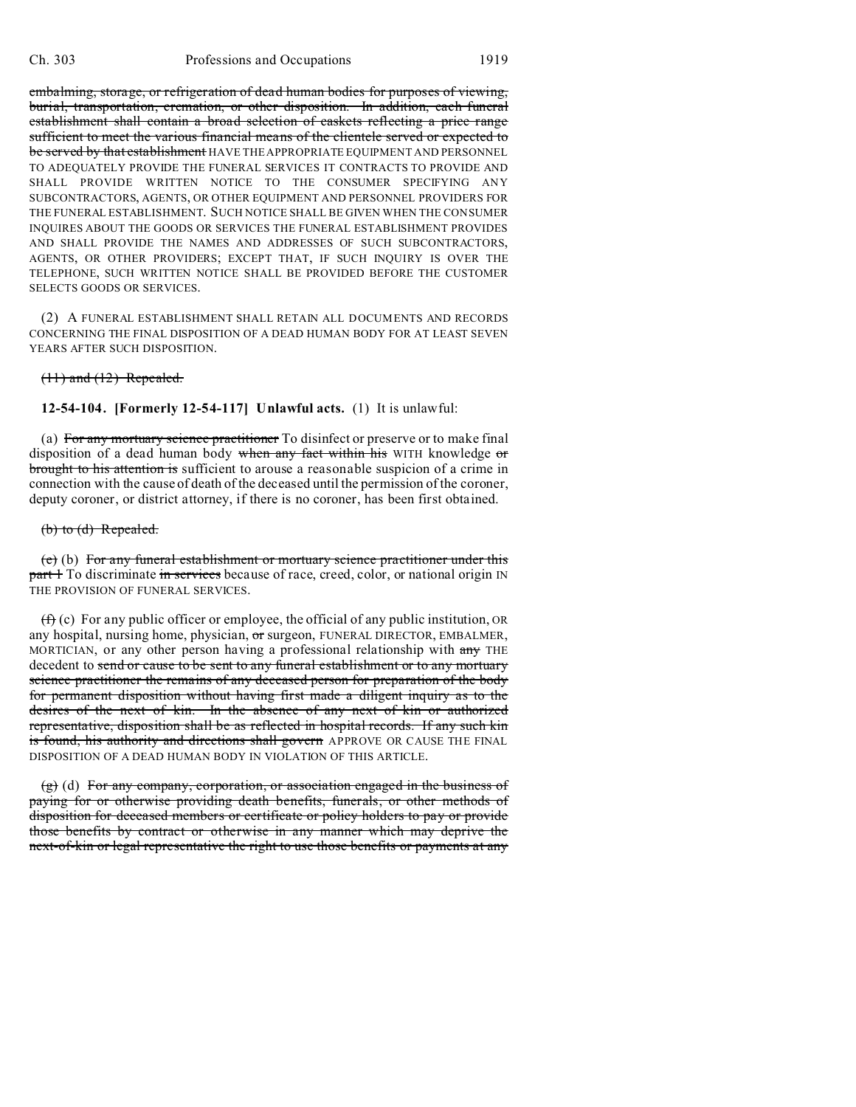embalming, storage, or refrigeration of dead human bodies for purposes of viewing, burial, transportation, cremation, or other disposition. In addition, each funeral establishment shall contain a broad selection of caskets reflecting a price range sufficient to meet the various financial means of the clientele served or expected to be served by that establishment HAVE THE APPROPRIATE EQUIPMENT AND PERSONNEL TO ADEQUATELY PROVIDE THE FUNERAL SERVICES IT CONTRACTS TO PROVIDE AND SHALL PROVIDE WRITTEN NOTICE TO THE CONSUMER SPECIFYING ANY SUBCONTRACTORS, AGENTS, OR OTHER EQUIPMENT AND PERSONNEL PROVIDERS FOR THE FUNERAL ESTABLISHMENT. SUCH NOTICE SHALL BE GIVEN WHEN THE CONSUMER INQUIRES ABOUT THE GOODS OR SERVICES THE FUNERAL ESTABLISHMENT PROVIDES AND SHALL PROVIDE THE NAMES AND ADDRESSES OF SUCH SUBCONTRACTORS, AGENTS, OR OTHER PROVIDERS; EXCEPT THAT, IF SUCH INQUIRY IS OVER THE TELEPHONE, SUCH WRITTEN NOTICE SHALL BE PROVIDED BEFORE THE CUSTOMER SELECTS GOODS OR SERVICES.

(2) A FUNERAL ESTABLISHMENT SHALL RETAIN ALL DOCUMENTS AND RECORDS CONCERNING THE FINAL DISPOSITION OF A DEAD HUMAN BODY FOR AT LEAST SEVEN YEARS AFTER SUCH DISPOSITION.

#### $(11)$  and  $(12)$  Repealed.

**12-54-104. [Formerly 12-54-117] Unlawful acts.** (1) It is unlawful:

(a) For any mortuary science practitioner To disinfect or preserve or to make final disposition of a dead human body when any fact within his WITH knowledge  $\sigma$ r brought to his attention is sufficient to arouse a reasonable suspicion of a crime in connection with the cause of death of the deceased until the permission of the coroner, deputy coroner, or district attorney, if there is no coroner, has been first obtained.

### (b) to (d) Repealed.

(e) (b) For any funeral establishment or mortuary science practitioner under this part 1 To discriminate in services because of race, creed, color, or national origin IN THE PROVISION OF FUNERAL SERVICES.

 $(f)$  (c) For any public officer or employee, the official of any public institution, OR any hospital, nursing home, physician, or surgeon, FUNERAL DIRECTOR, EMBALMER, MORTICIAN, or any other person having a professional relationship with any THE decedent to send or cause to be sent to any funeral establishment or to any mortuary science practitioner the remains of any deceased person for preparation of the body for permanent disposition without having first made a diligent inquiry as to the desires of the next of kin. In the absence of any next of kin or authorized representative, disposition shall be as reflected in hospital records. If any such kin is found, his authority and directions shall govern APPROVE OR CAUSE THE FINAL DISPOSITION OF A DEAD HUMAN BODY IN VIOLATION OF THIS ARTICLE.

(g) (d) For any company, corporation, or association engaged in the business of paying for or otherwise providing death benefits, funerals, or other methods of disposition for deceased members or certificate or policy holders to pay or provide those benefits by contract or otherwise in any manner which may deprive the next-of-kin or legal representative the right to use those benefits or payments at any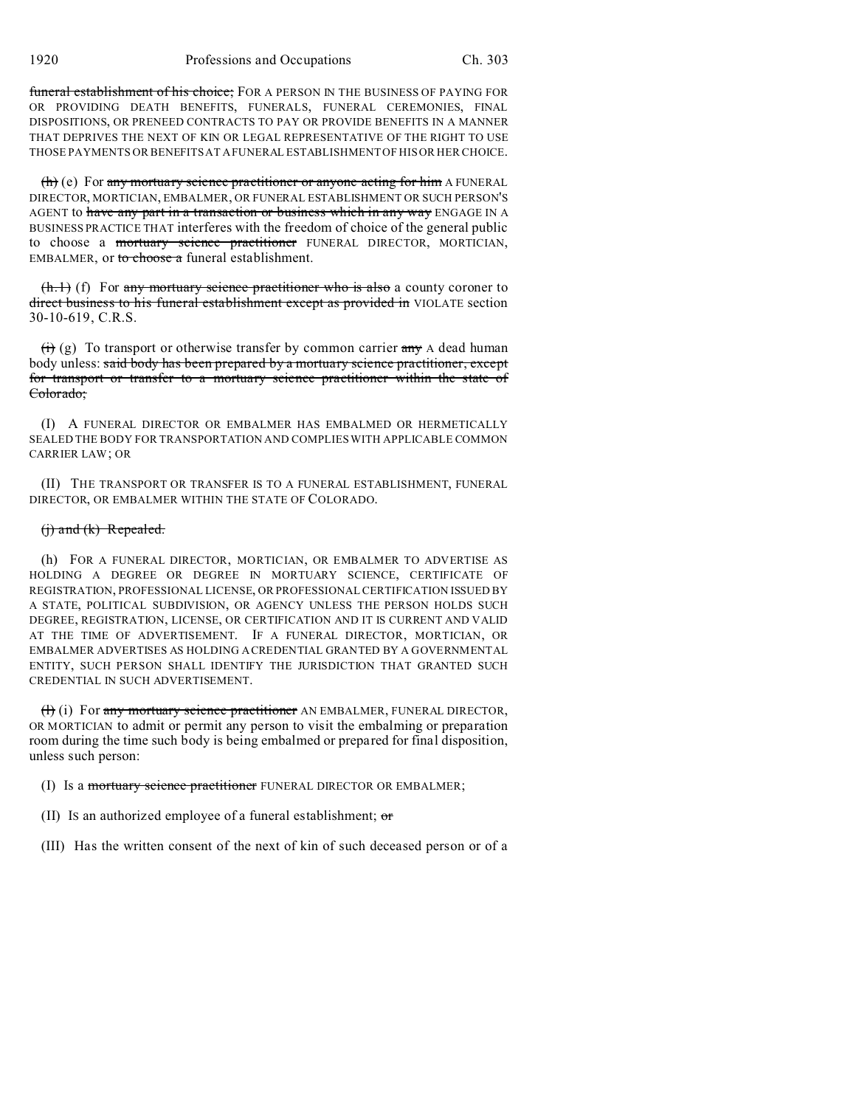funeral establishment of his choice; FOR A PERSON IN THE BUSINESS OF PAYING FOR OR PROVIDING DEATH BENEFITS, FUNERALS, FUNERAL CEREMONIES, FINAL DISPOSITIONS, OR PRENEED CONTRACTS TO PAY OR PROVIDE BENEFITS IN A MANNER THAT DEPRIVES THE NEXT OF KIN OR LEGAL REPRESENTATIVE OF THE RIGHT TO USE THOSE PAYMENTS OR BENEFITS AT A FUNERAL ESTABLISHMENT OF HIS OR HER CHOICE.

 $(h)$  (e) For any mortuary science practitioner or anyone acting for him A FUNERAL DIRECTOR, MORTICIAN, EMBALMER, OR FUNERAL ESTABLISHMENT OR SUCH PERSON'S AGENT to have any part in a transaction or business which in any way ENGAGE IN A BUSINESS PRACTICE THAT interferes with the freedom of choice of the general public to choose a mortuary science practitioner FUNERAL DIRECTOR, MORTICIAN, EMBALMER, or to choose a funeral establishment.

 $(h.1)$  (f) For any mortuary science practitioner who is also a county coroner to direct business to his funeral establishment except as provided in VIOLATE section 30-10-619, C.R.S.

 $\overrightarrow{(t)}$  (g) To transport or otherwise transfer by common carrier any A dead human body unless: said body has been prepared by a mortuary science practitioner, except for transport or transfer to a mortuary science practitioner within the state of Colorado;

(I) A FUNERAL DIRECTOR OR EMBALMER HAS EMBALMED OR HERMETICALLY SEALED THE BODY FOR TRANSPORTATION AND COMPLIES WITH APPLICABLE COMMON CARRIER LAW; OR

(II) THE TRANSPORT OR TRANSFER IS TO A FUNERAL ESTABLISHMENT, FUNERAL DIRECTOR, OR EMBALMER WITHIN THE STATE OF COLORADO.

# (j) and (k) Repealed.

(h) FOR A FUNERAL DIRECTOR, MORTICIAN, OR EMBALMER TO ADVERTISE AS HOLDING A DEGREE OR DEGREE IN MORTUARY SCIENCE, CERTIFICATE OF REGISTRATION, PROFESSIONAL LICENSE, OR PROFESSIONAL CERTIFICATION ISSUED BY A STATE, POLITICAL SUBDIVISION, OR AGENCY UNLESS THE PERSON HOLDS SUCH DEGREE, REGISTRATION, LICENSE, OR CERTIFICATION AND IT IS CURRENT AND VALID AT THE TIME OF ADVERTISEMENT. IF A FUNERAL DIRECTOR, MORTICIAN, OR EMBALMER ADVERTISES AS HOLDING A CREDENTIAL GRANTED BY A GOVERNMENTAL ENTITY, SUCH PERSON SHALL IDENTIFY THE JURISDICTION THAT GRANTED SUCH CREDENTIAL IN SUCH ADVERTISEMENT.

(f) (i) For any mortuary science practitioner AN EMBALMER, FUNERAL DIRECTOR, OR MORTICIAN to admit or permit any person to visit the embalming or preparation room during the time such body is being embalmed or prepared for final disposition, unless such person:

(I) Is a mortuary science practitioner FUNERAL DIRECTOR OR EMBALMER;

(II) Is an authorized employee of a funeral establishment;  $\sigma$ 

(III) Has the written consent of the next of kin of such deceased person or of a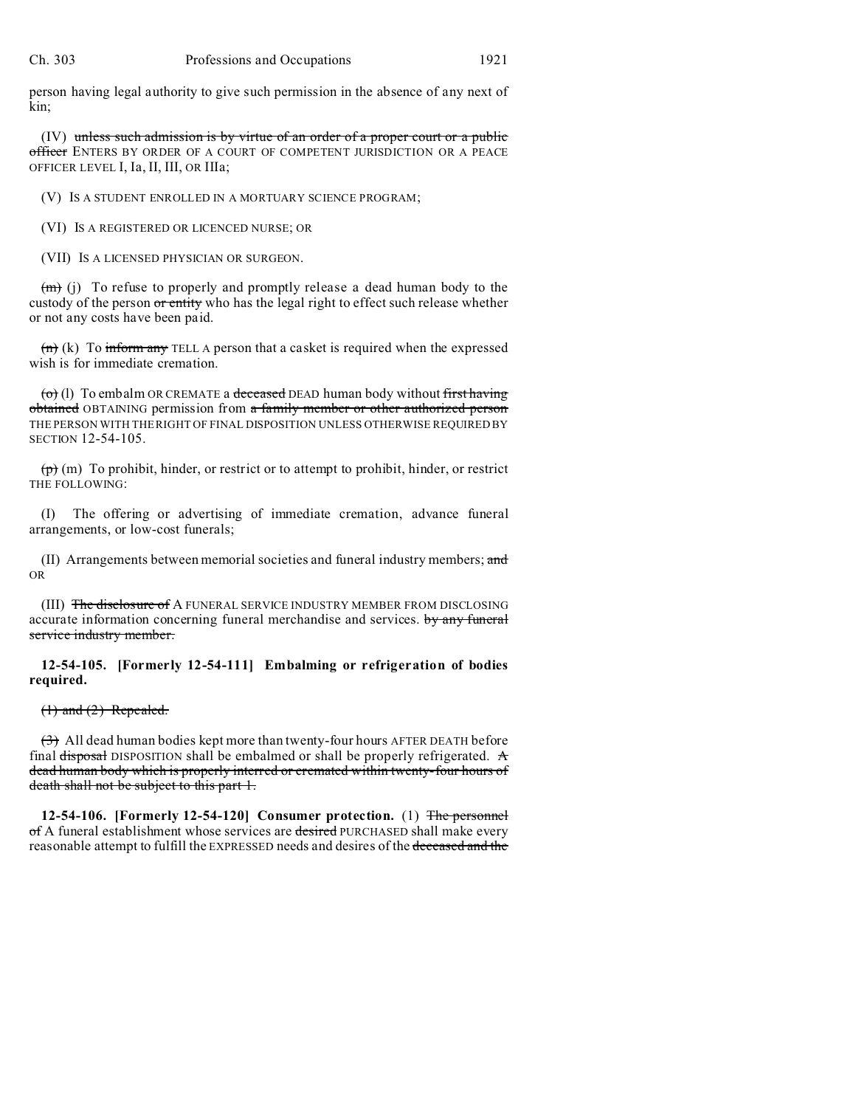person having legal authority to give such permission in the absence of any next of kin;

(IV) unless such admission is by virtue of an order of a proper court or a public officer ENTERS BY ORDER OF A COURT OF COMPETENT JURISDICTION OR A PEACE OFFICER LEVEL I, Ia, II, III, OR IIIa;

(V) IS A STUDENT ENROLLED IN A MORTUARY SCIENCE PROGRAM;

(VI) IS A REGISTERED OR LICENCED NURSE; OR

(VII) IS A LICENSED PHYSICIAN OR SURGEON.

 $(m)$  (j) To refuse to properly and promptly release a dead human body to the custody of the person or entity who has the legal right to effect such release whether or not any costs have been paid.

 $(n)$  (k) To inform any TELL A person that a casket is required when the expressed wish is for immediate cremation.

 $\overline{(o)}$  (1) To embalm OR CREMATE a deceased DEAD human body without first having obtained OBTAINING permission from a family member or other authorized person THE PERSON WITH THE RIGHT OF FINAL DISPOSITION UNLESS OTHERWISE REQUIRED BY SECTION 12-54-105.

 $(p)$  (m) To prohibit, hinder, or restrict or to attempt to prohibit, hinder, or restrict THE FOLLOWING:

(I) The offering or advertising of immediate cremation, advance funeral arrangements, or low-cost funerals;

(II) Arrangements between memorial societies and funeral industry members; and OR

(III) The disclosure of A FUNERAL SERVICE INDUSTRY MEMBER FROM DISCLOSING accurate information concerning funeral merchandise and services. by any funeral service industry member.

**12-54-105. [Formerly 12-54-111] Embalming or refrigeration of bodies required.**

 $(1)$  and  $(2)$  Repealed.

 $\left(\frac{3}{2}\right)$  All dead human bodies kept more than twenty-four hours AFTER DEATH before final disposal DISPOSITION shall be embalmed or shall be properly refrigerated.  $\mathbf{\hat{A}}$ dead human body which is properly interred or cremated within twenty-four hours of death shall not be subject to this part 1.

**12-54-106. [Formerly 12-54-120] Consumer protection.** (1) The personnel of A funeral establishment whose services are desired PURCHASED shall make every reasonable attempt to fulfill the EXPRESSED needs and desires of the deceased and the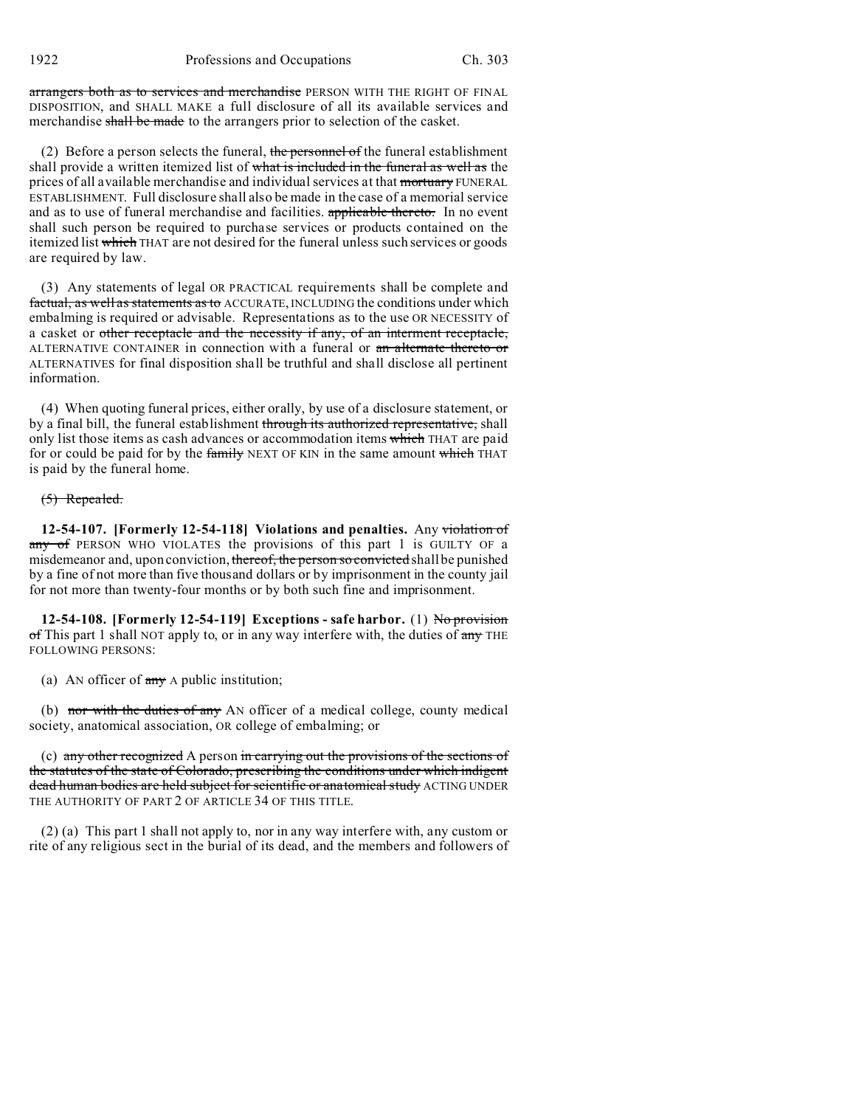arrangers both as to services and merchandise PERSON WITH THE RIGHT OF FINAL DISPOSITION, and SHALL MAKE a full disclosure of all its available services and merchandise shall be made to the arrangers prior to selection of the casket.

(2) Before a person selects the funeral, the personnel of the funeral establishment shall provide a written itemized list of what is included in the funeral as well as the prices of all available merchandise and individual services at that mortuary FUNERAL ESTABLISHMENT. Full disclosure shall also be made in the case of a memorial service and as to use of funeral merchandise and facilities. **applicable thereto.** In no event shall such person be required to purchase services or products contained on the itemized list which THAT are not desired for the funeral unless such services or goods are required by law.

(3) Any statements of legal OR PRACTICAL requirements shall be complete and factual, as well as statements as to ACCURATE, INCLUDING the conditions under which embalming is required or advisable. Representations as to the use OR NECESSITY of a casket or other receptacle and the necessity if any, of an interment receptacle, ALTERNATIVE CONTAINER in connection with a funeral or an alternate thereto or ALTERNATIVES for final disposition shall be truthful and shall disclose all pertinent information.

(4) When quoting funeral prices, either orally, by use of a disclosure statement, or by a final bill, the funeral establishment through its authorized representative, shall only list those items as cash advances or accommodation items which THAT are paid for or could be paid for by the family NEXT OF KIN in the same amount which THAT is paid by the funeral home.

### (5) Repealed.

**12-54-107. [Formerly 12-54-118] Violations and penalties.** Any violation of any of PERSON WHO VIOLATES the provisions of this part 1 is GUILTY OF a misdemeanor and, upon conviction, thereof, the person so convicted shall be punished by a fine of not more than five thousand dollars or by imprisonment in the county jail for not more than twenty-four months or by both such fine and imprisonment.

**12-54-108. [Formerly 12-54-119] Exceptions - safe harbor.** (1) No provision  $\sigma$ f This part 1 shall NOT apply to, or in any way interfere with, the duties of  $\sigma$ <sub>ry</sub> THE FOLLOWING PERSONS:

(a) AN officer of  $\frac{any}{any}$  A public institution;

(b) nor with the duties of any AN officer of a medical college, county medical society, anatomical association, OR college of embalming; or

(c) any other recognized A person in carrying out the provisions of the sections of the statutes of the state of Colorado, prescribing the conditions under which indigent dead human bodies are held subject for scientific or anatomical study ACTING UNDER THE AUTHORITY OF PART 2 OF ARTICLE 34 OF THIS TITLE.

(2) (a) This part 1 shall not apply to, nor in any way interfere with, any custom or rite of any religious sect in the burial of its dead, and the members and followers of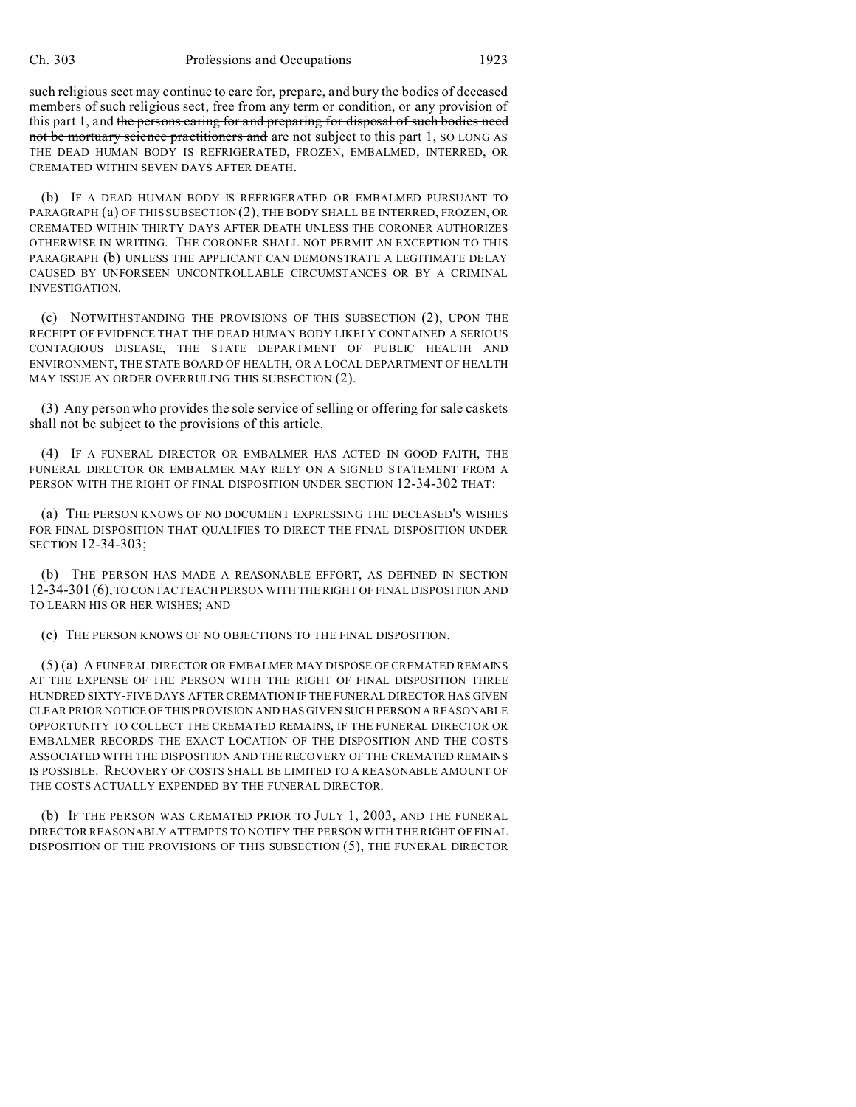such religious sect may continue to care for, prepare, and bury the bodies of deceased members of such religious sect, free from any term or condition, or any provision of this part 1, and the persons caring for and preparing for disposal of such bodies need not be mortuary science practitioners and are not subject to this part 1, SO LONG AS THE DEAD HUMAN BODY IS REFRIGERATED, FROZEN, EMBALMED, INTERRED, OR CREMATED WITHIN SEVEN DAYS AFTER DEATH.

(b) IF A DEAD HUMAN BODY IS REFRIGERATED OR EMBALMED PURSUANT TO PARAGRAPH (a) OF THIS SUBSECTION (2), THE BODY SHALL BE INTERRED, FROZEN, OR CREMATED WITHIN THIRTY DAYS AFTER DEATH UNLESS THE CORONER AUTHORIZES OTHERWISE IN WRITING. THE CORONER SHALL NOT PERMIT AN EXCEPTION TO THIS PARAGRAPH (b) UNLESS THE APPLICANT CAN DEMONSTRATE A LEGITIMATE DELAY CAUSED BY UNFORSEEN UNCONTROLLABLE CIRCUMSTANCES OR BY A CRIMINAL INVESTIGATION.

(c) NOTWITHSTANDING THE PROVISIONS OF THIS SUBSECTION (2), UPON THE RECEIPT OF EVIDENCE THAT THE DEAD HUMAN BODY LIKELY CONTAINED A SERIOUS CONTAGIOUS DISEASE, THE STATE DEPARTMENT OF PUBLIC HEALTH AND ENVIRONMENT, THE STATE BOARD OF HEALTH, OR A LOCAL DEPARTMENT OF HEALTH MAY ISSUE AN ORDER OVERRULING THIS SUBSECTION (2).

(3) Any person who provides the sole service of selling or offering for sale caskets shall not be subject to the provisions of this article.

(4) IF A FUNERAL DIRECTOR OR EMBALMER HAS ACTED IN GOOD FAITH, THE FUNERAL DIRECTOR OR EMBALMER MAY RELY ON A SIGNED STATEMENT FROM A PERSON WITH THE RIGHT OF FINAL DISPOSITION UNDER SECTION 12-34-302 THAT:

(a) THE PERSON KNOWS OF NO DOCUMENT EXPRESSING THE DECEASED'S WISHES FOR FINAL DISPOSITION THAT QUALIFIES TO DIRECT THE FINAL DISPOSITION UNDER SECTION 12-34-303;

(b) THE PERSON HAS MADE A REASONABLE EFFORT, AS DEFINED IN SECTION 12-34-301 (6),TO CONTACT EACH PERSON WITH THE RIGHT OF FINAL DISPOSITION AND TO LEARN HIS OR HER WISHES; AND

(c) THE PERSON KNOWS OF NO OBJECTIONS TO THE FINAL DISPOSITION.

(5) (a) A FUNERAL DIRECTOR OR EMBALMER MAY DISPOSE OF CREMATED REMAINS AT THE EXPENSE OF THE PERSON WITH THE RIGHT OF FINAL DISPOSITION THREE HUNDRED SIXTY-FIVE DAYS AFTER CREMATION IF THE FUNERAL DIRECTOR HAS GIVEN CLEAR PRIOR NOTICE OF THIS PROVISION AND HAS GIVEN SUCH PERSON A REASONABLE OPPORTUNITY TO COLLECT THE CREMATED REMAINS, IF THE FUNERAL DIRECTOR OR EMBALMER RECORDS THE EXACT LOCATION OF THE DISPOSITION AND THE COSTS ASSOCIATED WITH THE DISPOSITION AND THE RECOVERY OF THE CREMATED REMAINS IS POSSIBLE. RECOVERY OF COSTS SHALL BE LIMITED TO A REASONABLE AMOUNT OF THE COSTS ACTUALLY EXPENDED BY THE FUNERAL DIRECTOR.

(b) IF THE PERSON WAS CREMATED PRIOR TO JULY 1, 2003, AND THE FUNERAL DIRECTOR REASONABLY ATTEMPTS TO NOTIFY THE PERSON WITH THE RIGHT OF FINAL DISPOSITION OF THE PROVISIONS OF THIS SUBSECTION (5), THE FUNERAL DIRECTOR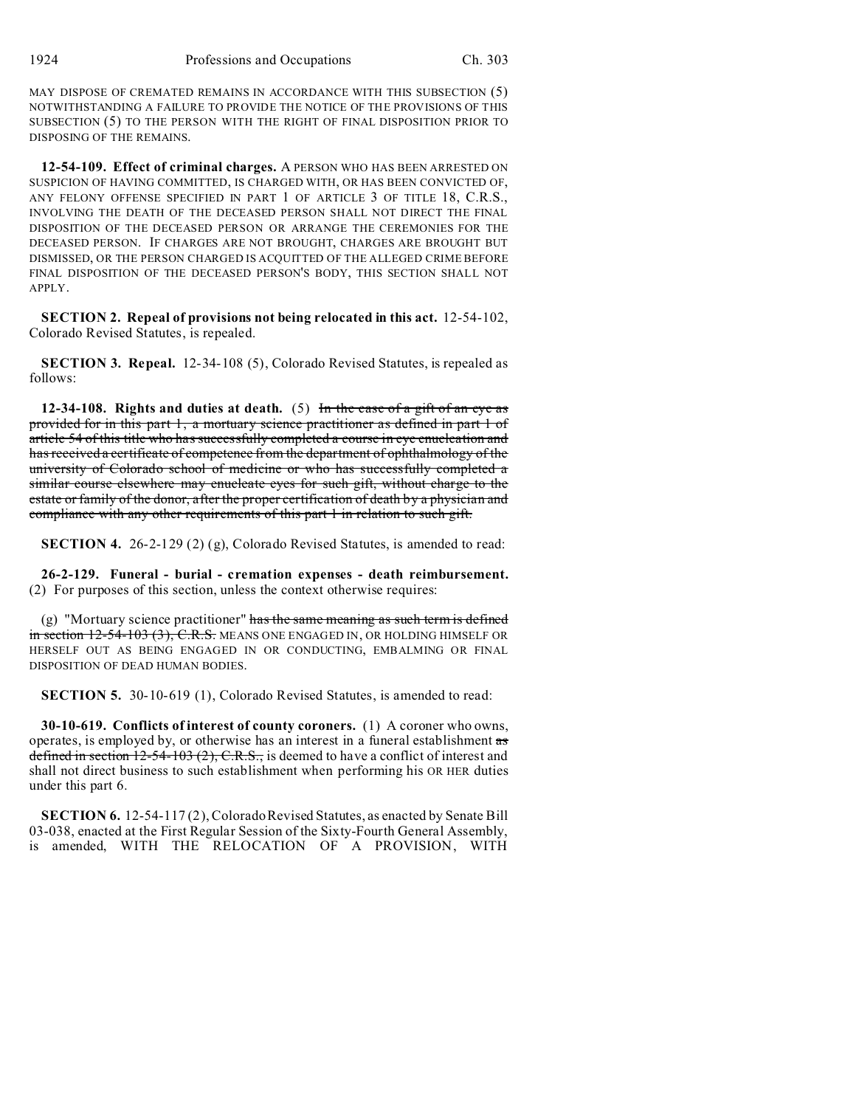MAY DISPOSE OF CREMATED REMAINS IN ACCORDANCE WITH THIS SUBSECTION (5) NOTWITHSTANDING A FAILURE TO PROVIDE THE NOTICE OF THE PROVISIONS OF THIS SUBSECTION (5) TO THE PERSON WITH THE RIGHT OF FINAL DISPOSITION PRIOR TO DISPOSING OF THE REMAINS.

**12-54-109. Effect of criminal charges.** A PERSON WHO HAS BEEN ARRESTED ON SUSPICION OF HAVING COMMITTED, IS CHARGED WITH, OR HAS BEEN CONVICTED OF, ANY FELONY OFFENSE SPECIFIED IN PART 1 OF ARTICLE 3 OF TITLE 18, C.R.S., INVOLVING THE DEATH OF THE DECEASED PERSON SHALL NOT DIRECT THE FINAL DISPOSITION OF THE DECEASED PERSON OR ARRANGE THE CEREMONIES FOR THE DECEASED PERSON. IF CHARGES ARE NOT BROUGHT, CHARGES ARE BROUGHT BUT DISMISSED, OR THE PERSON CHARGED IS ACQUITTED OF THE ALLEGED CRIME BEFORE FINAL DISPOSITION OF THE DECEASED PERSON'S BODY, THIS SECTION SHALL NOT APPLY.

**SECTION 2. Repeal of provisions not being relocated in this act.** 12-54-102, Colorado Revised Statutes, is repealed.

**SECTION 3. Repeal.** 12-34-108 (5), Colorado Revised Statutes, is repealed as follows:

**12-34-108. Rights and duties at death.** (5) In the case of a gift of an eye as provided for in this part 1, a mortuary science practitioner as defined in part 1 of article 54 of this title who has successfully completed a course in eye enucleation and has received a certificate of competence from the department of ophthalmology of the university of Colorado school of medicine or who has successfully completed a similar course elsewhere may enucleate eyes for such gift, without charge to the estate or family of the donor, after the proper certification of death by a physician and compliance with any other requirements of this part 1 in relation to such gift.

**SECTION 4.** 26-2-129 (2) (g), Colorado Revised Statutes, is amended to read:

**26-2-129. Funeral - burial - cremation expenses - death reimbursement.** (2) For purposes of this section, unless the context otherwise requires:

(g) "Mortuary science practitioner" has the same meaning as such term is defined  $\frac{1}{2}$  in section 12-54-103 (3), C.R.S. MEANS ONE ENGAGED IN, OR HOLDING HIMSELF OR HERSELF OUT AS BEING ENGAGED IN OR CONDUCTING, EMBALMING OR FINAL DISPOSITION OF DEAD HUMAN BODIES.

**SECTION 5.** 30-10-619 (1), Colorado Revised Statutes, is amended to read:

**30-10-619. Conflicts of interest of county coroners.** (1) A coroner who owns, operates, is employed by, or otherwise has an interest in a funeral establishment as defined in section  $12-54-103$  (2), C.R.S., is deemed to have a conflict of interest and shall not direct business to such establishment when performing his OR HER duties under this part 6.

**SECTION 6.** 12-54-117 (2), Colorado Revised Statutes, as enacted by Senate Bill 03-038, enacted at the First Regular Session of the Sixty-Fourth General Assembly, is amended, WITH THE RELOCATION OF A PROVISION, WITH